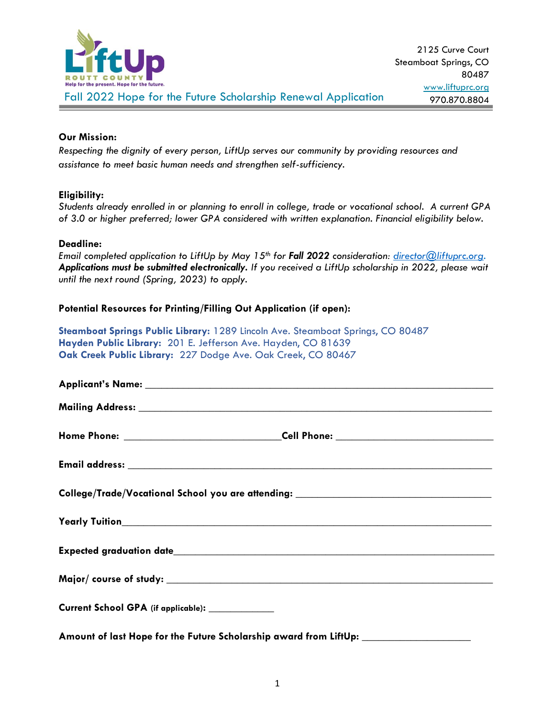

# **Our Mission:**

*Respecting the dignity of every person, LiftUp serves our community by providing resources and assistance to meet basic human needs and strengthen self-sufficiency.*

# **Eligibility:**

*Students already enrolled in or planning to enroll in college, trade or vocational school. A current GPA of 3.0 or higher preferred; lower GPA considered with written explanation. Financial eligibility below.*

## **Deadline:**

*Email completed application to LiftUp by May 15th for Fall 2022 consideration: [director@liftuprc.org.](mailto:director@liftuprc.org) Applications must be submitted electronically. If you received a LiftUp scholarship in 2022, please wait until the next round (Spring, 2023) to apply.* 

# **Potential Resources for Printing/Filling Out Application (if open):**

**Steamboat Springs Public Library:** 1289 Lincoln Ave. Steamboat Springs, CO 80487 **Hayden Public Library:** 201 E. Jefferson Ave. Hayden, CO 81639 **Oak Creek Public Library:** 227 Dodge Ave. Oak Creek, CO 80467

| College/Trade/Vocational School you are attending: _____________________________ |  |
|----------------------------------------------------------------------------------|--|
|                                                                                  |  |
|                                                                                  |  |
|                                                                                  |  |
| Current School GPA (if applicable): _____________                                |  |
| Amount of last Hope for the Future Scholarship award from LiftUp:                |  |